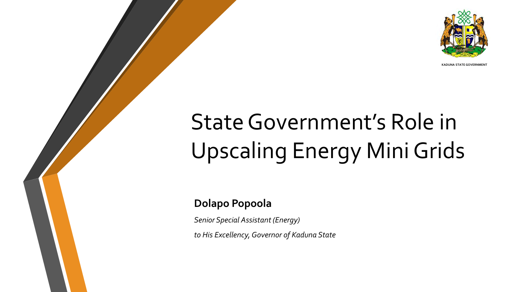

**KADUNA STATE GOVERNMENT**

# State Government's Role in Upscaling Energy Mini Grids

#### **Dolapo Popoola**

*Senior Special Assistant (Energy)*

*to His Excellency, Governor of Kaduna State*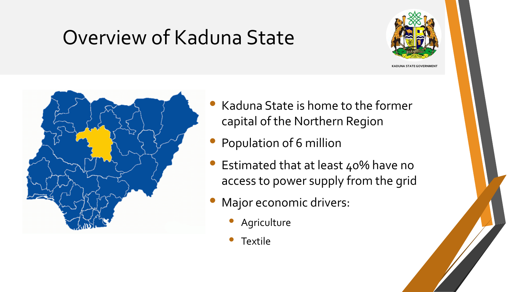## Overview of Kaduna State



**KADUNA STATE GOVERNMENT** 



- Kaduna State is home to the former capital of the Northern Region
- Population of 6 million
- Estimated that at least 40% have no access to power supply from the grid
- Major economic drivers:
	- **Agriculture**
	- **Textile**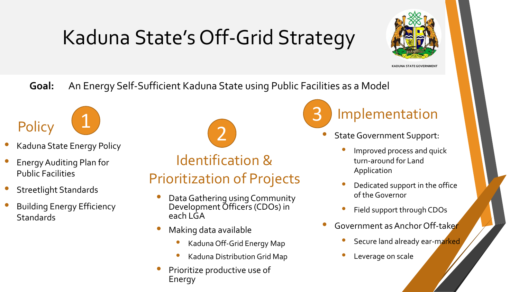## Kaduna State's Off-Grid Strategy



**KADUNA STATE GOVERNMENT**

**Goal:** An Energy Self-Sufficient Kaduna State using Public Facilities as a Model



- Kaduna State Energy Policy
- Energy Auditing Plan for Public Facilities
- Streetlight Standards
- Building Energy Efficiency **Standards**

Identification & Prioritization of Projects 1 2

- Data Gathering using Community Development Officers (CDOs) in each LGA
- Making data available
	- Kaduna Off-Grid Energy Map
	- Kaduna Distribution Grid Map
- Prioritize productive use of Energy

3

### Implementation

- State Government Support:
	- Improved process and quick turn-around for Land Application
	- Dedicated support in the office of the Governor
	- Field support through CDOs
- Government as Anchor Off-taker
	- Secure land already ear-marked
	- Leverage on scale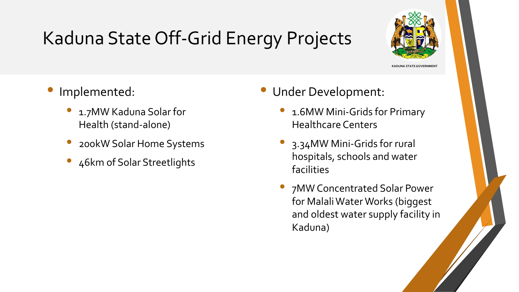## Kaduna State Off-Grid Energy Projects



**KADUNA STATE GOVERNMENT**

- Implemented:
	- 1.7MW Kaduna Solar for Health (stand-alone)
	- 200kW Solar Home Systems
	- 46km of Solar Streetlights
- Under Development:
	- 1.6MW Mini-Grids for Primary Healthcare Centers
	- 3.34MW Mini-Grids for rural hospitals, schools and water facilities
	- 7MW Concentrated Solar Power for MalaliWater Works (biggest and oldest water supply facility in Kaduna)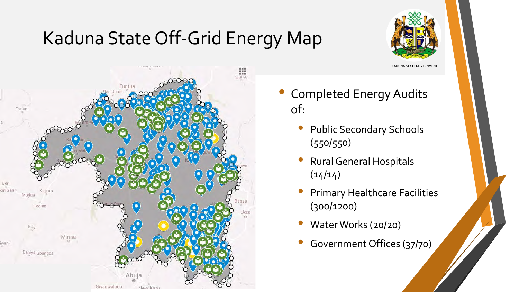## Kaduna State Off-Grid Energy Map



**KADUNA STATE GOVERNMENT** 



- Completed Energy Audits of:
	- Public Secondary Schools (550/550)
	- Rural General Hospitals  $(14/14)$
	- Primary Healthcare Facilities (300/1200)
	- Water Works (20/20)
	- Government Offices (37/70)